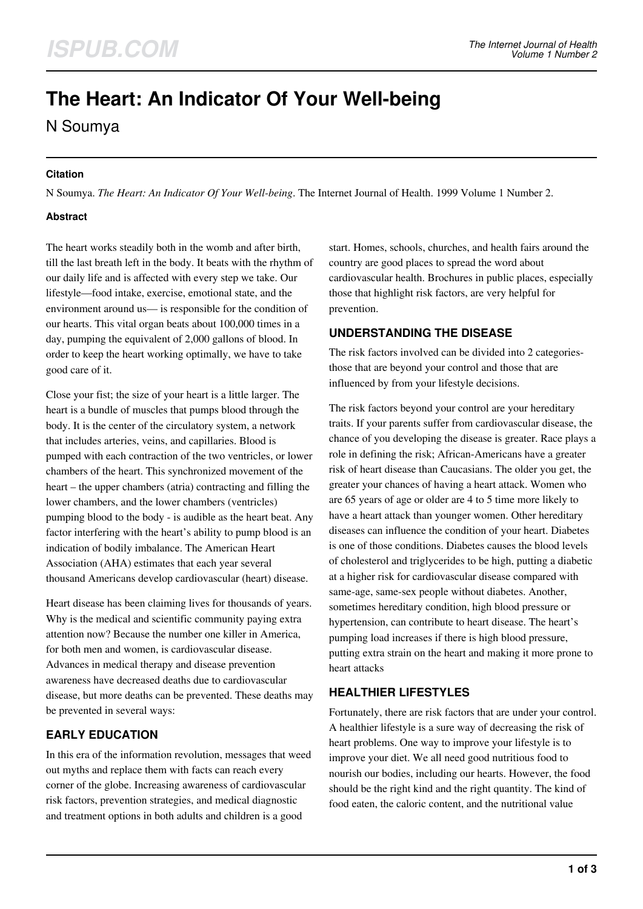# **The Heart: An Indicator Of Your Well-being**

N Soumya

#### **Citation**

N Soumya. *The Heart: An Indicator Of Your Well-being*. The Internet Journal of Health. 1999 Volume 1 Number 2.

#### **Abstract**

The heart works steadily both in the womb and after birth, till the last breath left in the body. It beats with the rhythm of our daily life and is affected with every step we take. Our lifestyle—food intake, exercise, emotional state, and the environment around us— is responsible for the condition of our hearts. This vital organ beats about 100,000 times in a day, pumping the equivalent of 2,000 gallons of blood. In order to keep the heart working optimally, we have to take good care of it.

Close your fist; the size of your heart is a little larger. The heart is a bundle of muscles that pumps blood through the body. It is the center of the circulatory system, a network that includes arteries, veins, and capillaries. Blood is pumped with each contraction of the two ventricles, or lower chambers of the heart. This synchronized movement of the heart – the upper chambers (atria) contracting and filling the lower chambers, and the lower chambers (ventricles) pumping blood to the body - is audible as the heart beat. Any factor interfering with the heart's ability to pump blood is an indication of bodily imbalance. The American Heart Association (AHA) estimates that each year several thousand Americans develop cardiovascular (heart) disease.

Heart disease has been claiming lives for thousands of years. Why is the medical and scientific community paying extra attention now? Because the number one killer in America, for both men and women, is cardiovascular disease. Advances in medical therapy and disease prevention awareness have decreased deaths due to cardiovascular disease, but more deaths can be prevented. These deaths may be prevented in several ways:

## **EARLY EDUCATION**

In this era of the information revolution, messages that weed out myths and replace them with facts can reach every corner of the globe. Increasing awareness of cardiovascular risk factors, prevention strategies, and medical diagnostic and treatment options in both adults and children is a good

start. Homes, schools, churches, and health fairs around the country are good places to spread the word about cardiovascular health. Brochures in public places, especially those that highlight risk factors, are very helpful for prevention.

## **UNDERSTANDING THE DISEASE**

The risk factors involved can be divided into 2 categoriesthose that are beyond your control and those that are influenced by from your lifestyle decisions.

The risk factors beyond your control are your hereditary traits. If your parents suffer from cardiovascular disease, the chance of you developing the disease is greater. Race plays a role in defining the risk; African-Americans have a greater risk of heart disease than Caucasians. The older you get, the greater your chances of having a heart attack. Women who are 65 years of age or older are 4 to 5 time more likely to have a heart attack than younger women. Other hereditary diseases can influence the condition of your heart. Diabetes is one of those conditions. Diabetes causes the blood levels of cholesterol and triglycerides to be high, putting a diabetic at a higher risk for cardiovascular disease compared with same-age, same-sex people without diabetes. Another, sometimes hereditary condition, high blood pressure or hypertension, can contribute to heart disease. The heart's pumping load increases if there is high blood pressure, putting extra strain on the heart and making it more prone to heart attacks

## **HEALTHIER LIFESTYLES**

Fortunately, there are risk factors that are under your control. A healthier lifestyle is a sure way of decreasing the risk of heart problems. One way to improve your lifestyle is to improve your diet. We all need good nutritious food to nourish our bodies, including our hearts. However, the food should be the right kind and the right quantity. The kind of food eaten, the caloric content, and the nutritional value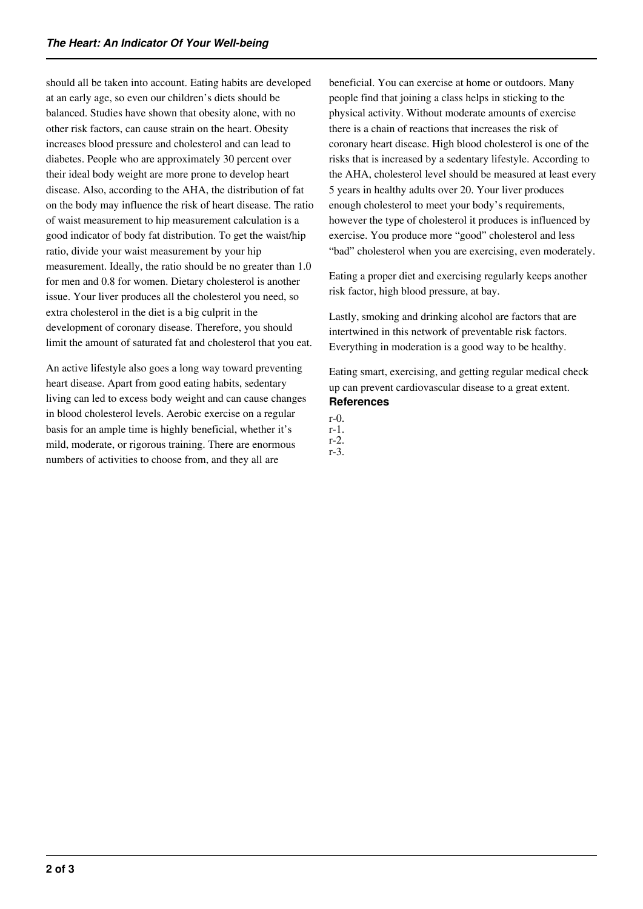should all be taken into account. Eating habits are developed at an early age, so even our children's diets should be balanced. Studies have shown that obesity alone, with no other risk factors, can cause strain on the heart. Obesity increases blood pressure and cholesterol and can lead to diabetes. People who are approximately 30 percent over their ideal body weight are more prone to develop heart disease. Also, according to the AHA, the distribution of fat on the body may influence the risk of heart disease. The ratio of waist measurement to hip measurement calculation is a good indicator of body fat distribution. To get the waist/hip ratio, divide your waist measurement by your hip measurement. Ideally, the ratio should be no greater than 1.0 for men and 0.8 for women. Dietary cholesterol is another issue. Your liver produces all the cholesterol you need, so extra cholesterol in the diet is a big culprit in the development of coronary disease. Therefore, you should limit the amount of saturated fat and cholesterol that you eat.

An active lifestyle also goes a long way toward preventing heart disease. Apart from good eating habits, sedentary living can led to excess body weight and can cause changes in blood cholesterol levels. Aerobic exercise on a regular basis for an ample time is highly beneficial, whether it's mild, moderate, or rigorous training. There are enormous numbers of activities to choose from, and they all are

beneficial. You can exercise at home or outdoors. Many people find that joining a class helps in sticking to the physical activity. Without moderate amounts of exercise there is a chain of reactions that increases the risk of coronary heart disease. High blood cholesterol is one of the risks that is increased by a sedentary lifestyle. According to the AHA, cholesterol level should be measured at least every 5 years in healthy adults over 20. Your liver produces enough cholesterol to meet your body's requirements, however the type of cholesterol it produces is influenced by exercise. You produce more "good" cholesterol and less "bad" cholesterol when you are exercising, even moderately.

Eating a proper diet and exercising regularly keeps another risk factor, high blood pressure, at bay.

Lastly, smoking and drinking alcohol are factors that are intertwined in this network of preventable risk factors. Everything in moderation is a good way to be healthy.

Eating smart, exercising, and getting regular medical check up can prevent cardiovascular disease to a great extent. **References**

- r-0. r-1.
- r-2.
- r-3.